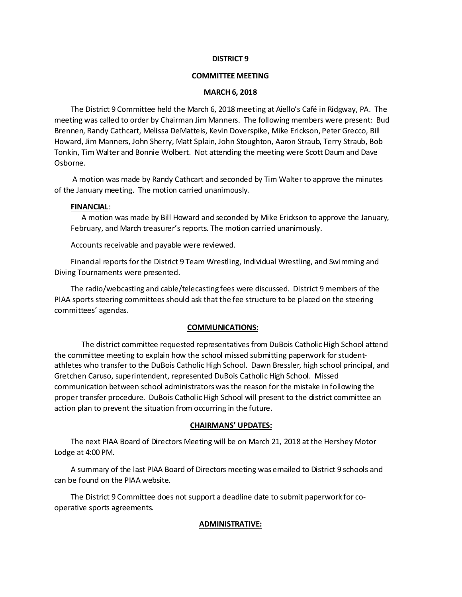#### **DISTRICT 9**

#### **COMMITTEE MEETING**

#### **MARCH 6, 2018**

The District 9 Committee held the March 6, 2018 meeting at Aiello's Café in Ridgway, PA. The meeting was called to order by Chairman Jim Manners. The following members were present: Bud Brennen, Randy Cathcart, Melissa DeMatteis, Kevin Doverspike, Mike Erickson, Peter Grecco, Bill Howard, Jim Manners, John Sherry, Matt Splain, John Stoughton, Aaron Straub, Terry Straub, Bob Tonkin, Tim Walter and Bonnie Wolbert. Not attending the meeting were Scott Daum and Dave Osborne.

A motion was made by Randy Cathcart and seconded by Tim Walter to approve the minutes of the January meeting. The motion carried unanimously.

#### **FINANCIAL**:

A motion was made by Bill Howard and seconded by Mike Erickson to approve the January, February, and March treasurer's reports. The motion carried unanimously.

Accounts receivable and payable were reviewed.

Financial reports for the District 9 Team Wrestling, Individual Wrestling, and Swimming and Diving Tournaments were presented.

The radio/webcasting and cable/telecasting fees were discussed. District 9 members of the PIAA sports steering committees should ask that the fee structure to be placed on the steering committees' agendas.

#### **COMMUNICATIONS:**

The district committee requested representatives from DuBois Catholic High School attend the committee meeting to explain how the school missed submitting paperwork for studentathletes who transfer to the DuBois Catholic High School. Dawn Bressler, high school principal, and Gretchen Caruso, superintendent, represented DuBois Catholic High School. Missed communication between school administrators was the reason for the mistake in following the proper transfer procedure. DuBois Catholic High School will present to the district committee an action plan to prevent the situation from occurring in the future.

#### **CHAIRMANS' UPDATES:**

The next PIAA Board of Directors Meeting will be on March 21, 2018 at the Hershey Motor Lodge at 4:00 PM.

A summary of the last PIAA Board of Directors meeting was emailed to District 9 schools and can be found on the PIAA website.

The District 9 Committee does not support a deadline date to submit paperwork for cooperative sports agreements.

#### **ADMINISTRATIVE:**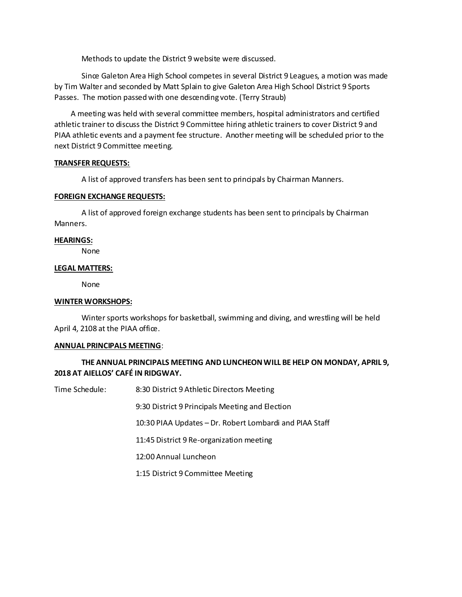Methods to update the District 9 website were discussed.

Since Galeton Area High School competes in several District 9 Leagues, a motion was made by Tim Walter and seconded by Matt Splain to give Galeton Area High School District 9 Sports Passes. The motion passedwith one descending vote. (Terry Straub)

A meeting was held with several committee members, hospital administrators and certified athletic trainer to discuss the District 9 Committee hiring athletic trainers to cover District 9 and PIAA athletic events and a payment fee structure. Another meeting will be scheduled prior to the next District 9 Committee meeting.

## **TRANSFER REQUESTS:**

A list of approved transfers has been sent to principals by Chairman Manners.

## **FOREIGN EXCHANGE REQUESTS:**

A list of approved foreign exchange students has been sent to principals by Chairman Manners.

## **HEARINGS:**

None

## **LEGAL MATTERS:**

None

## **WINTER WORKSHOPS:**

Winter sports workshops for basketball, swimming and diving, and wrestling will be held April 4, 2108 at the PIAA office.

#### **ANNUAL PRINCIPALS MEETING**:

# **THE ANNUAL PRINCIPALS MEETING AND LUNCHEON WILL BE HELP ON MONDAY, APRIL 9, 2018 AT AIELLOS' CAFÉ IN RIDGWAY.**

Time Schedule: 8:30 District 9 Athletic Directors Meeting

9:30 District 9 Principals Meeting and Election

10:30 PIAA Updates – Dr. Robert Lombardi and PIAA Staff

11:45 District 9 Re-organization meeting

12:00 Annual Luncheon

1:15 District 9 Committee Meeting